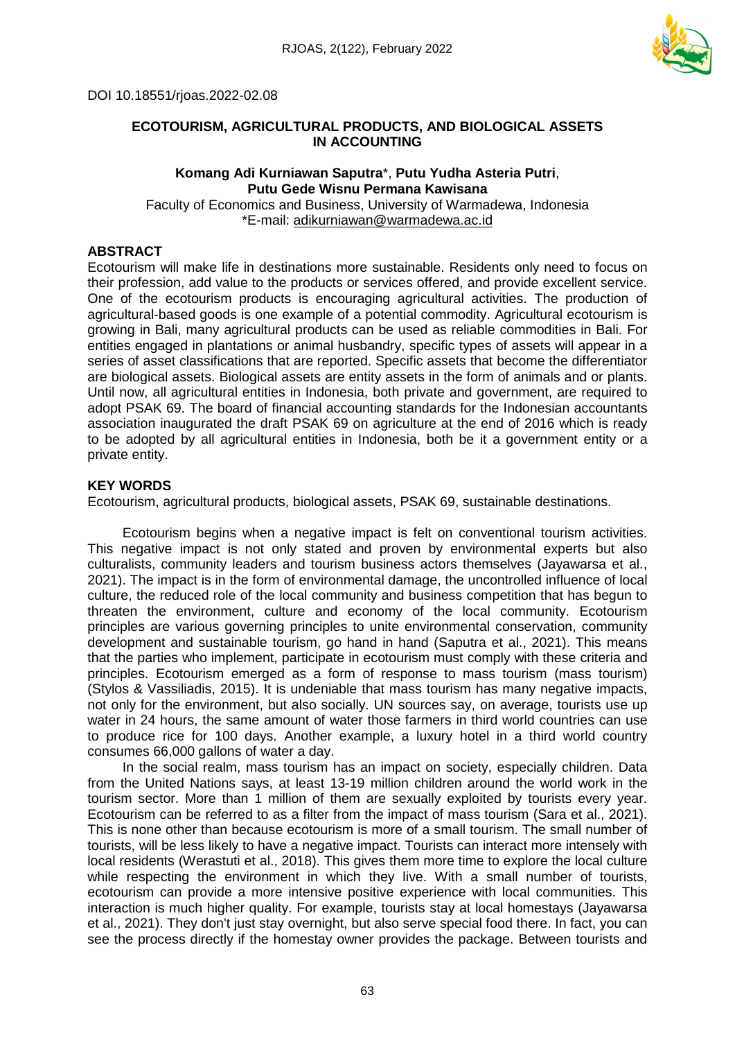

# DOI 10.18551/rjoas.2022-02.08

# **ECOTOURISM, AGRICULTURAL PRODUCTS, AND BIOLOGICAL ASSETS IN ACCOUNTING**

## **Komang Adi Kurniawan Saputra**\*, **Putu Yudha Asteria Putri**, **Putu Gede Wisnu Permana Kawisana**

Faculty of Economics and Business, University of Warmadewa, Indonesia \*E-mail: [adikurniawan@warmadewa.ac.id](mailto:adikurniawan@warmadewa.ac.id)

# **ABSTRACT**

Ecotourism will make life in destinations more sustainable. Residents only need to focus on their profession, add value to the products or services offered, and provide excellent service. One of the ecotourism products is encouraging agricultural activities. The production of agricultural-based goods is one example of a potential commodity. Agricultural ecotourism is growing in Bali, many agricultural products can be used as reliable commodities in Bali. For entities engaged in plantations or animal husbandry, specific types of assets will appear in a series of asset classifications that are reported. Specific assets that become the differentiator are biological assets. Biological assets are entity assets in the form of animals and or plants. Until now, all agricultural entities in Indonesia, both private and government, are required to adopt PSAK 69. The board of financial accounting standards for the Indonesian accountants association inaugurated the draft PSAK 69 on agriculture at the end of 2016 which is ready to be adopted by all agricultural entities in Indonesia, both be it a government entity or a private entity.

### **KEY WORDS**

Ecotourism, agricultural products, biological assets, PSAK 69, sustainable destinations.

Ecotourism begins when a negative impact is felt on conventional tourism activities. This negative impact is not only stated and proven by environmental experts but also culturalists, community leaders and tourism business actors themselves (Jayawarsa et al., 2021). The impact is in the form of environmental damage, the uncontrolled influence of local culture, the reduced role of the local community and business competition that has begun to threaten the environment, culture and economy of the local community. Ecotourism principles are various governing principles to unite environmental conservation, community development and sustainable tourism, go hand in hand (Saputra et al., 2021). This means that the parties who implement, participate in ecotourism must comply with these criteria and principles. Ecotourism emerged as a form of response to mass tourism (mass tourism) (Stylos & Vassiliadis, 2015). It is undeniable that mass tourism has many negative impacts, not only for the environment, but also socially. UN sources say, on average, tourists use up water in 24 hours, the same amount of water those farmers in third world countries can use to produce rice for 100 days. Another example, a luxury hotel in a third world country consumes 66,000 gallons of water a day.

In the social realm, mass tourism has an impact on society, especially children. Data from the United Nations says, at least 13-19 million children around the world work in the tourism sector. More than 1 million of them are sexually exploited by tourists every year. Ecotourism can be referred to as a filter from the impact of mass tourism (Sara et al., 2021). This is none other than because ecotourism is more of a small tourism. The small number of tourists, will be less likely to have a negative impact. Tourists can interact more intensely with local residents (Werastuti et al., 2018). This gives them more time to explore the local culture while respecting the environment in which they live. With a small number of tourists, ecotourism can provide a more intensive positive experience with local communities. This interaction is much higher quality. For example, tourists stay at local homestays (Jayawarsa et al., 2021). They don't just stay overnight, but also serve special food there. In fact, you can see the process directly if the homestay owner provides the package. Between tourists and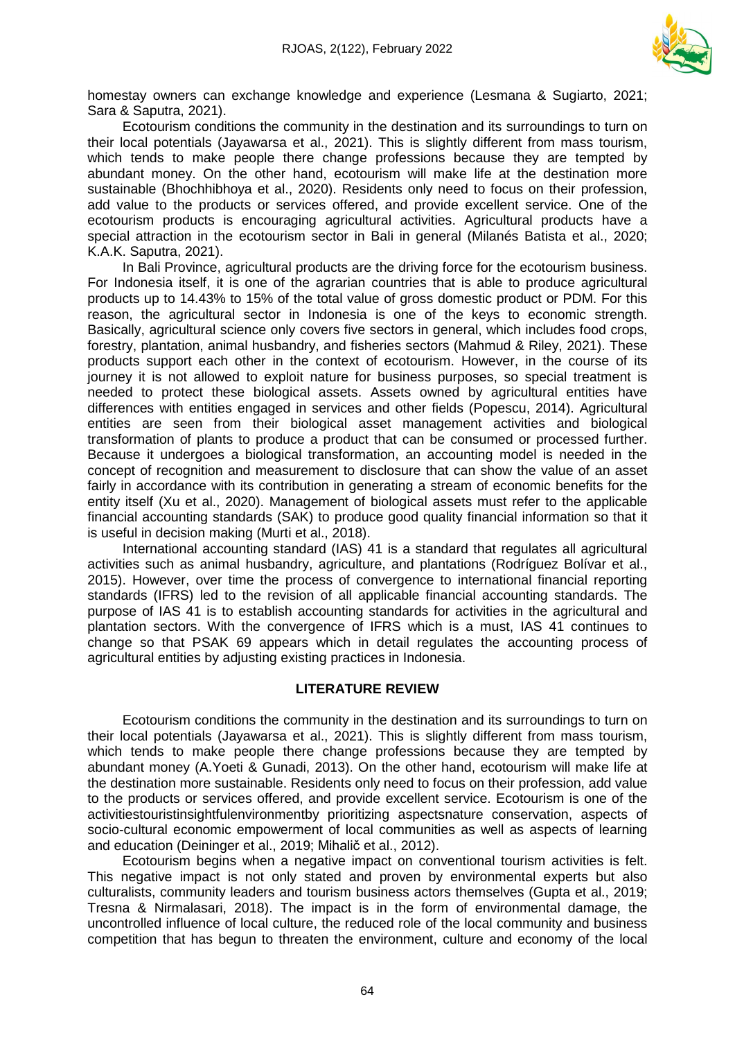

homestay owners can exchange knowledge and experience (Lesmana & Sugiarto, 2021; Sara & Saputra, 2021).

Ecotourism conditions the community in the destination and its surroundings to turn on their local potentials (Jayawarsa et al., 2021). This is slightly different from mass tourism, which tends to make people there change professions because they are tempted by abundant money. On the other hand, ecotourism will make life at the destination more sustainable (Bhochhibhoya et al., 2020). Residents only need to focus on their profession, add value to the products or services offered, and provide excellent service. One of the ecotourism products is encouraging agricultural activities. Agricultural products have a special attraction in the ecotourism sector in Bali in general (Milanés Batista et al., 2020; K.A.K. Saputra, 2021).

In Bali Province, agricultural products are the driving force for the ecotourism business. For Indonesia itself, it is one of the agrarian countries that is able to produce agricultural products up to 14.43% to 15% of the total value of gross domestic product or PDM. For this reason, the agricultural sector in Indonesia is one of the keys to economic strength. Basically, agricultural science only covers five sectors in general, which includes food crops, forestry, plantation, animal husbandry, and fisheries sectors (Mahmud & Riley, 2021). These products support each other in the context of ecotourism. However, in the course of its journey it is not allowed to exploit nature for business purposes, so special treatment is needed to protect these biological assets. Assets owned by agricultural entities have differences with entities engaged in services and other fields (Popescu, 2014). Agricultural entities are seen from their biological asset management activities and biological transformation of plants to produce a product that can be consumed or processed further. Because it undergoes a biological transformation, an accounting model is needed in the concept of recognition and measurement to disclosure that can show the value of an asset fairly in accordance with its contribution in generating a stream of economic benefits for the entity itself (Xu et al., 2020). Management of biological assets must refer to the applicable financial accounting standards (SAK) to produce good quality financial information so that it is useful in decision making (Murti et al., 2018).

International accounting standard (IAS) 41 is a standard that regulates all agricultural activities such as animal husbandry, agriculture, and plantations (Rodríguez Bolívar et al., 2015). However, over time the process of convergence to international financial reporting standards (IFRS) led to the revision of all applicable financial accounting standards. The purpose of IAS 41 is to establish accounting standards for activities in the agricultural and plantation sectors. With the convergence of IFRS which is a must, IAS 41 continues to change so that PSAK 69 appears which in detail regulates the accounting process of agricultural entities by adjusting existing practices in Indonesia.

### **LITERATURE REVIEW**

Ecotourism conditions the community in the destination and its surroundings to turn on their local potentials (Jayawarsa et al., 2021). This is slightly different from mass tourism, which tends to make people there change professions because they are tempted by abundant money (A.Yoeti & Gunadi, 2013). On the other hand, ecotourism will make life at the destination more sustainable. Residents only need to focus on their profession, add value to the products or services offered, and provide excellent service. Ecotourism is one of the activitie[stouristi](https://id.wikipedia.org/wiki/Pariwisata)nsightf[ulenvironmentb](https://id.wikipedia.org/wiki/Lingkungan)y prioritizing aspectsnature [conservation,](https://id.wikipedia.org/w/index.php?title=Konservasi_alam&action=edit&redlink=1) aspects of socio-cultural economic empowerment of local communities as well as aspects of learning and education (Deininger et al., 2019; Mihalič et al., 2012).

Ecotourism begins when a negative impact on conventional tourism activities is felt. This negative impact is not only stated and proven by environmental experts but also culturalists, community leaders and tourism business actors themselves (Gupta et al., 2019; Tresna & Nirmalasari, 2018). The impact is in the form of environmental damage, the uncontrolled influence of local culture, the reduced role of the local community and business competition that has begun to threaten the environment, culture and economy of the local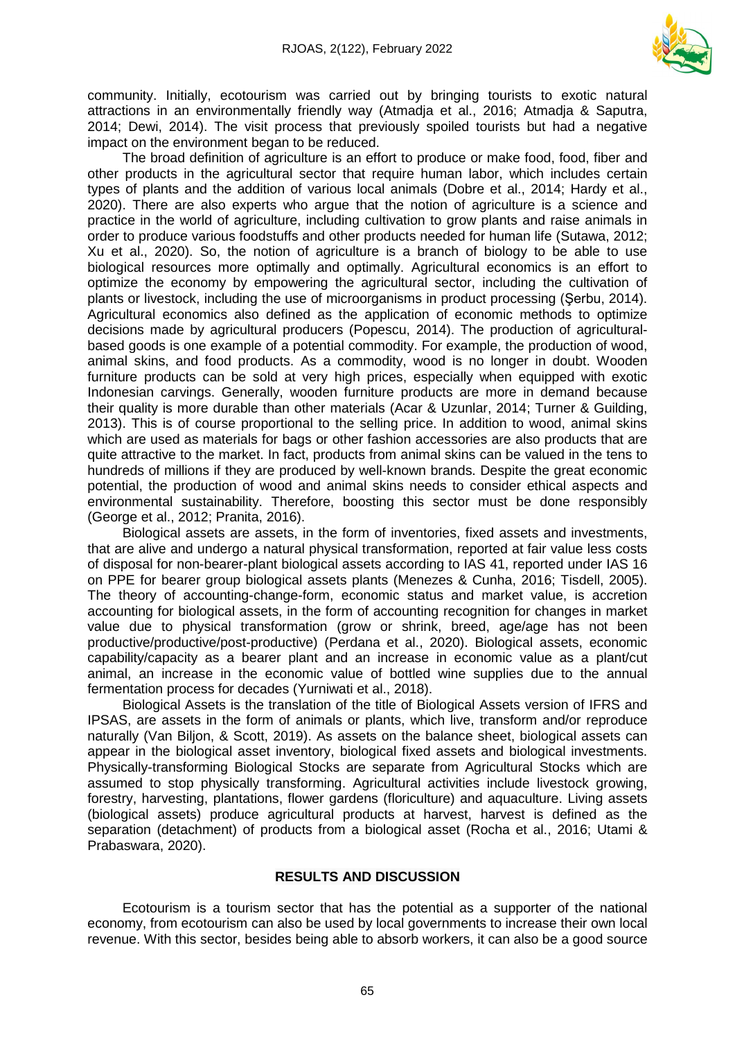

community. Initially, ecotourism was carried out by bringing tourists to exotic natural attractions in an environmentally friendly way (Atmadja et al., 2016; Atmadja & Saputra, 2014; Dewi, 2014). The visit process that previously spoiled tourists but had a negative impact on the environment began to be reduced.

The broad definition of agriculture is an effort to produce or make food, food, fiber and other products in the agricultural sector that require human labor, which includes certain types of plants and the addition of various local animals (Dobre et al., 2014; Hardy et al., 2020). There are also experts who argue that the notion of agriculture is a science and practice in the world of agriculture, including cultivation to grow plants and raise animals in order to produce various foodstuffs and other products needed for human life (Sutawa, 2012; Xu et al., 2020). So, the notion of agriculture is a branch of biology to be able to use biological resources more optimally and optimally. Agricultural economics is an effort to optimize the economy by empowering the agricultural sector, including the cultivation of plants or livestock, including the use of microorganisms in product processing (Şerbu, 2014). Agricultural economics also defined as the application of economic methods to optimize decisions made by agricultural producers (Popescu, 2014). The production of agriculturalbased goods is one example of a potential commodity. For example, the production of wood, animal skins, and food products. As a commodity, wood is no longer in doubt. Wooden furniture products can be sold at very high prices, especially when equipped with exotic Indonesian carvings. Generally, wooden furniture products are more in demand because their quality is more durable than other materials (Acar & Uzunlar, 2014; Turner & Guilding, 2013). This is of course proportional to the selling price. In addition to wood, animal skins which are used as materials for bags or other fashion accessories are also products that are quite attractive to the market. In fact, products from animal skins can be valued in the tens to hundreds of millions if they are produced by well-known brands. Despite the great economic potential, the production of wood and animal skins needs to consider ethical aspects and environmental sustainability. Therefore, boosting this sector must be done responsibly (George et al., 2012; Pranita, 2016).

Biological assets are assets, in the form of inventories, fixed assets and investments, that are alive and undergo a natural physical transformation, reported at fair value less costs of disposal for non-bearer-plant biological assets according to IAS 41, reported under IAS 16 on PPE for bearer group biological assets plants (Menezes & Cunha, 2016; Tisdell, 2005). The theory of accounting-change-form, economic status and market value, is accretion accounting for biological assets, in the form of accounting recognition for changes in market value due to physical transformation (grow or shrink, breed, age/age has not been productive/productive/post-productive) (Perdana et al., 2020). Biological assets, economic capability/capacity as a bearer plant and an increase in economic value as a plant/cut animal, an increase in the economic value of bottled wine supplies due to the annual fermentation process for decades (Yurniwati et al., 2018).

Biological Assets is the translation of the title of Biological Assets version of IFRS and IPSAS, are assets in the form of animals or plants, which live, transform and/or reproduce naturally (Van Biljon, & Scott, 2019). As assets on the balance sheet, biological assets can appear in the biological asset inventory, biological fixed assets and biological investments. Physically-transforming Biological Stocks are separate from Agricultural Stocks which are assumed to stop physically transforming. Agricultural activities include livestock growing, forestry, harvesting, plantations, flower gardens (floriculture) and aquaculture. Living assets (biological assets) produce agricultural products at harvest, harvest is defined as the separation (detachment) of products from a biological asset (Rocha et al., 2016; Utami & Prabaswara, 2020).

### **RESULTS AND DISCUSSION**

Ecotourism is a tourism sector that has the potential as a supporter of the national economy, from ecotourism can also be used by local governments to increase their own local revenue. With this sector, besides being able to absorb workers, it can also be a good source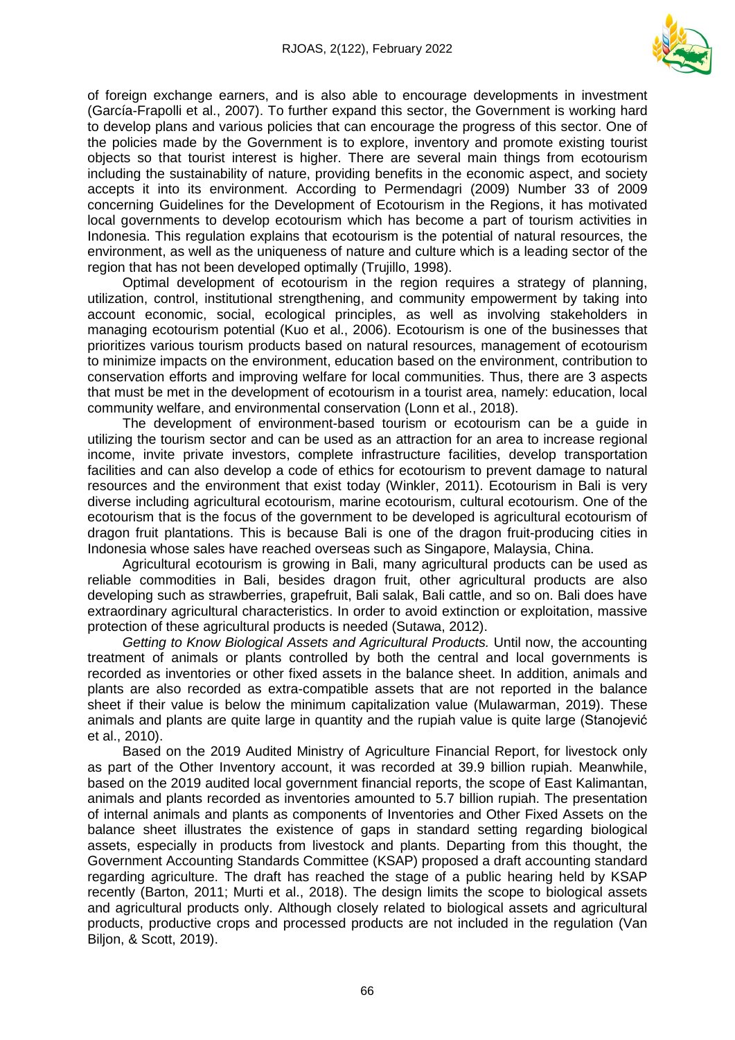

of foreign exchange earners, and is also able to encourage developments in investment (García-Frapolli et al., 2007). To further expand this sector, the Government is working hard to develop plans and various policies that can encourage the progress of this sector. One of the policies made by the Government is to explore, inventory and promote existing tourist objects so that tourist interest is higher. There are several main things from ecotourism including the sustainability of nature, providing benefits in the economic aspect, and society accepts it into its environment. According to Permendagri (2009) Number 33 of 2009 concerning Guidelines for the Development of Ecotourism in the Regions, it has motivated local governments to develop ecotourism which has become a part of tourism activities in Indonesia. This regulation explains that ecotourism is the potential of natural resources, the environment, as well as the uniqueness of nature and culture which is a leading sector of the region that has not been developed optimally (Trujillo, 1998).

Optimal development of ecotourism in the region requires a strategy of planning, utilization, control, institutional strengthening, and community empowerment by taking into account economic, social, ecological principles, as well as involving stakeholders in managing ecotourism potential (Kuo et al., 2006). Ecotourism is one of the businesses that prioritizes various tourism products based on natural resources, management of ecotourism to minimize impacts on the environment, education based on the environment, contribution to conservation efforts and improving welfare for local communities. Thus, there are 3 aspects that must be met in the development of ecotourism in a tourist area, namely: education, local community welfare, and environmental conservation (Lonn et al., 2018).

The development of environment-based tourism or ecotourism can be a guide in utilizing the tourism sector and can be used as an attraction for an area to increase regional income, invite private investors, complete infrastructure facilities, develop transportation facilities and can also develop a code of ethics for ecotourism to prevent damage to natural resources and the environment that exist today (Winkler, 2011). Ecotourism in Bali is very diverse including agricultural ecotourism, marine ecotourism, cultural ecotourism. One of the ecotourism that is the focus of the government to be developed is agricultural ecotourism of dragon fruit plantations. This is because Bali is one of the dragon fruit-producing cities in Indonesia whose sales have reached overseas such as Singapore, Malaysia, China.

Agricultural ecotourism is growing in Bali, many agricultural products can be used as reliable commodities in Bali, besides dragon fruit, other agricultural products are also developing such as strawberries, grapefruit, Bali salak, Bali cattle, and so on. Bali does have extraordinary agricultural characteristics. In order to avoid extinction or exploitation, massive protection of these agricultural products is needed (Sutawa, 2012).

*Getting to Know Biological Assets and Agricultural Products.* Until now, the accounting treatment of animals or plants controlled by both the central and local governments is recorded as inventories or other fixed assets in the balance sheet. In addition, animals and plants are also recorded as extra-compatible assets that are not reported in the balance sheet if their value is below the minimum capitalization value (Mulawarman, 2019). These animals and plants are quite large in quantity and the rupiah value is quite large (Stanojević et al., 2010).

Based on the 2019 Audited Ministry of Agriculture Financial Report, for livestock only as part of the Other Inventory account, it was recorded at 39.9 billion rupiah. Meanwhile, based on the 2019 audited local government financial reports, the scope of East Kalimantan, animals and plants recorded as inventories amounted to 5.7 billion rupiah. The presentation of internal animals and plants as components of Inventories and Other Fixed Assets on the balance sheet illustrates the existence of gaps in standard setting regarding biological assets, especially in products from livestock and plants. Departing from this thought, the Government Accounting Standards Committee (KSAP) proposed a draft accounting standard regarding agriculture. The draft has reached the stage of a public hearing held by KSAP recently (Barton, 2011; Murti et al., 2018). The design limits the scope to biological assets and agricultural products only. Although closely related to biological assets and agricultural products, productive crops and processed products are not included in the regulation (Van Biljon, & Scott, 2019).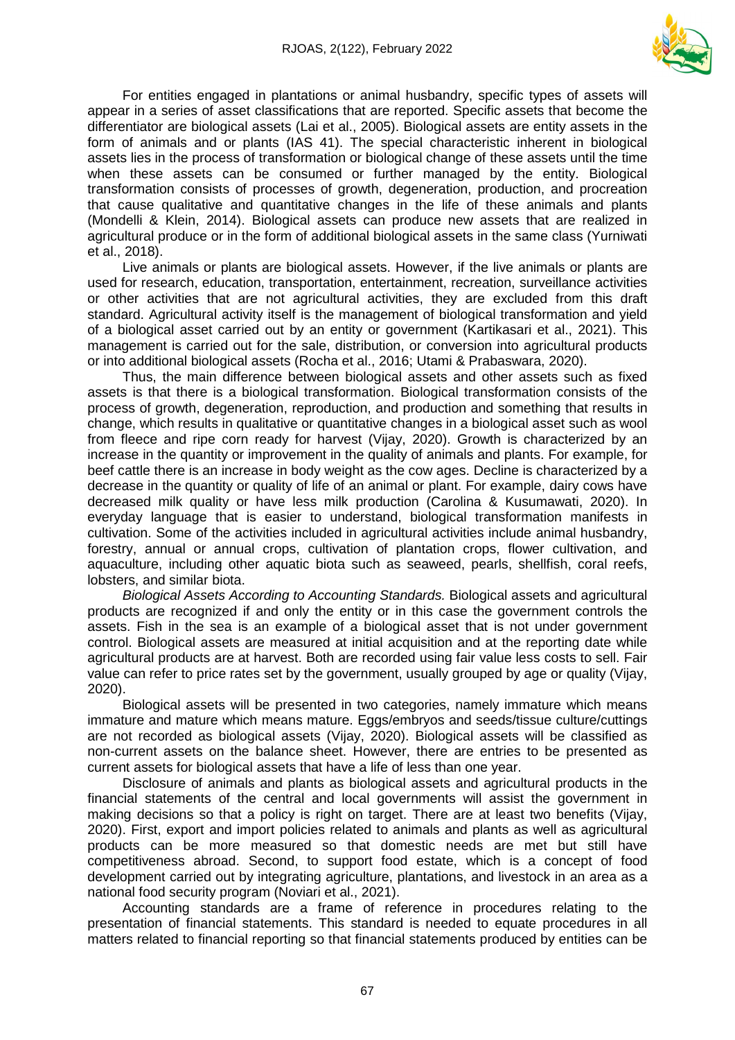

For entities engaged in plantations or animal husbandry, specific types of assets will appear in a series of asset classifications that are reported. Specific assets that become the differentiator are biological assets (Lai et al., 2005). Biological assets are entity assets in the form of animals and or plants (IAS 41). The special characteristic inherent in biological assets lies in the process of transformation or biological change of these assets until the time when these assets can be consumed or further managed by the entity. Biological transformation consists of processes of growth, degeneration, production, and procreation that cause qualitative and quantitative changes in the life of these animals and plants (Mondelli & Klein, 2014). Biological assets can produce new assets that are realized in agricultural produce or in the form of additional biological assets in the same class (Yurniwati et al., 2018).

Live animals or plants are biological assets. However, if the live animals or plants are used for research, education, transportation, entertainment, recreation, surveillance activities or other activities that are not agricultural activities, they are excluded from this draft standard. Agricultural activity itself is the management of biological transformation and yield of a biological asset carried out by an entity or government (Kartikasari et al., 2021). This management is carried out for the sale, distribution, or conversion into agricultural products or into additional biological assets (Rocha et al., 2016; Utami & Prabaswara, 2020).

Thus, the main difference between biological assets and other assets such as fixed assets is that there is a biological transformation. Biological transformation consists of the process of growth, degeneration, reproduction, and production and something that results in change, which results in qualitative or quantitative changes in a biological asset such as wool from fleece and ripe corn ready for harvest (Vijay, 2020). Growth is characterized by an increase in the quantity or improvement in the quality of animals and plants. For example, for beef cattle there is an increase in body weight as the cow ages. Decline is characterized by a decrease in the quantity or quality of life of an animal or plant. For example, dairy cows have decreased milk quality or have less milk production (Carolina & Kusumawati, 2020). In everyday language that is easier to understand, biological transformation manifests in cultivation. Some of the activities included in agricultural activities include animal husbandry, forestry, annual or annual crops, cultivation of plantation crops, flower cultivation, and aquaculture, including other aquatic biota such as seaweed, pearls, shellfish, coral reefs, lobsters, and similar biota.

*Biological Assets According to Accounting Standards.* Biological assets and agricultural products are recognized if and only the entity or in this case the government controls the assets. Fish in the sea is an example of a biological asset that is not under government control. Biological assets are measured at initial acquisition and at the reporting date while agricultural products are at harvest. Both are recorded using fair value less costs to sell. Fair value can refer to price rates set by the government, usually grouped by age or quality (Vijay, 2020).

Biological assets will be presented in two categories, namely immature which means immature and mature which means mature. Eggs/embryos and seeds/tissue culture/cuttings are not recorded as biological assets (Vijay, 2020). Biological assets will be classified as non-current assets on the balance sheet. However, there are entries to be presented as current assets for biological assets that have a life of less than one year.

Disclosure of animals and plants as biological assets and agricultural products in the financial statements of the central and local governments will assist the government in making decisions so that a policy is right on target. There are at least two benefits (Vijay, 2020). First, export and import policies related to animals and plants as well as agricultural products can be more measured so that domestic needs are met but still have competitiveness abroad. Second, to support food estate, which is a concept of food development carried out by integrating agriculture, plantations, and livestock in an area as a national food security program (Noviari et al., 2021).

Accounting standards are a frame of reference in procedures relating to the presentation of financial statements. This standard is needed to equate procedures in all matters related to financial reporting so that financial statements produced by entities can be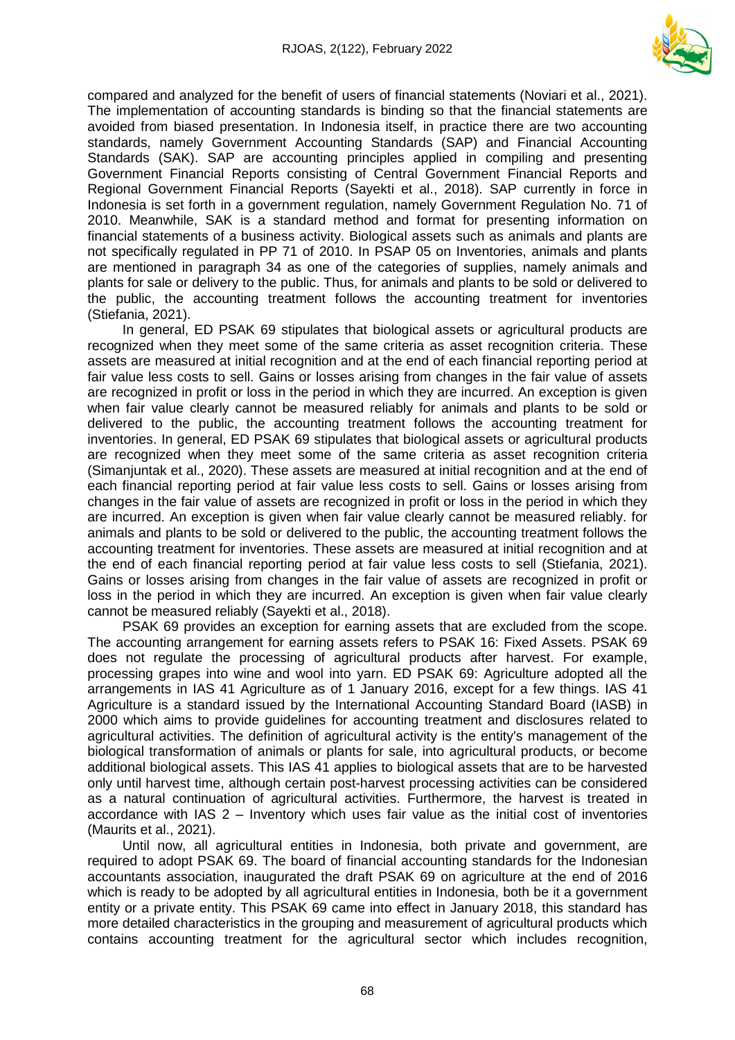

compared and analyzed for the benefit of users of financial statements (Noviari et al., 2021). The implementation of accounting standards is binding so that the financial statements are avoided from biased presentation. In Indonesia itself, in practice there are two accounting standards, namely Government Accounting Standards (SAP) and Financial Accounting Standards (SAK). SAP are accounting principles applied in compiling and presenting Government Financial Reports consisting of Central Government Financial Reports and Regional Government Financial Reports (Sayekti et al., 2018). SAP currently in force in Indonesia is set forth in a government regulation, namely Government Regulation No. 71 of 2010. Meanwhile, SAK is a standard method and format for presenting information on financial statements of a business activity. Biological assets such as animals and plants are not specifically regulated in PP 71 of 2010. In PSAP 05 on Inventories, animals and plants are mentioned in paragraph 34 as one of the categories of supplies, namely animals and plants for sale or delivery to the public. Thus, for animals and plants to be sold or delivered to the public, the accounting treatment follows the accounting treatment for inventories (Stiefania, 2021).

In general, ED PSAK 69 stipulates that biological assets or agricultural products are recognized when they meet some of the same criteria as asset recognition criteria. These assets are measured at initial recognition and at the end of each financial reporting period at fair value less costs to sell. Gains or losses arising from changes in the fair value of assets are recognized in profit or loss in the period in which they are incurred. An exception is given when fair value clearly cannot be measured reliably for animals and plants to be sold or delivered to the public, the accounting treatment follows the accounting treatment for inventories. In general, ED PSAK 69 stipulates that biological assets or agricultural products are recognized when they meet some of the same criteria as asset recognition criteria (Simanjuntak et al., 2020). These assets are measured at initial recognition and at the end of each financial reporting period at fair value less costs to sell. Gains or losses arising from changes in the fair value of assets are recognized in profit or loss in the period in which they are incurred. An exception is given when fair value clearly cannot be measured reliably. for animals and plants to be sold or delivered to the public, the accounting treatment follows the accounting treatment for inventories. These assets are measured at initial recognition and at the end of each financial reporting period at fair value less costs to sell (Stiefania, 2021). Gains or losses arising from changes in the fair value of assets are recognized in profit or loss in the period in which they are incurred. An exception is given when fair value clearly cannot be measured reliably (Sayekti et al., 2018).

PSAK 69 provides an exception for earning assets that are excluded from the scope. The accounting arrangement for earning assets refers to PSAK 16: Fixed Assets. PSAK 69 does not regulate the processing of agricultural products after harvest. For example, processing grapes into wine and wool into yarn. ED PSAK 69: Agriculture adopted all the arrangements in IAS 41 Agriculture as of 1 January 2016, except for a few things. IAS 41 Agriculture is a standard issued by the International Accounting Standard Board (IASB) in 2000 which aims to provide guidelines for accounting treatment and disclosures related to agricultural activities. The definition of agricultural activity is the entity's management of the biological transformation of animals or plants for sale, into agricultural products, or become additional biological assets. This IAS 41 applies to biological assets that are to be harvested only until harvest time, although certain post-harvest processing activities can be considered as a natural continuation of agricultural activities. Furthermore, the harvest is treated in accordance with IAS 2 – Inventory which uses fair value as the initial cost of inventories (Maurits et al., 2021).

Until now, all agricultural entities in Indonesia, both private and government, are required to adopt PSAK 69. The board of financial accounting standards for the Indonesian accountants association, inaugurated the draft PSAK 69 on agriculture at the end of 2016 which is ready to be adopted by all agricultural entities in Indonesia, both be it a government entity or a private entity. This PSAK 69 came into effect in January 2018, this standard has more detailed characteristics in the grouping and measurement of agricultural products which contains accounting treatment for the agricultural sector which includes recognition,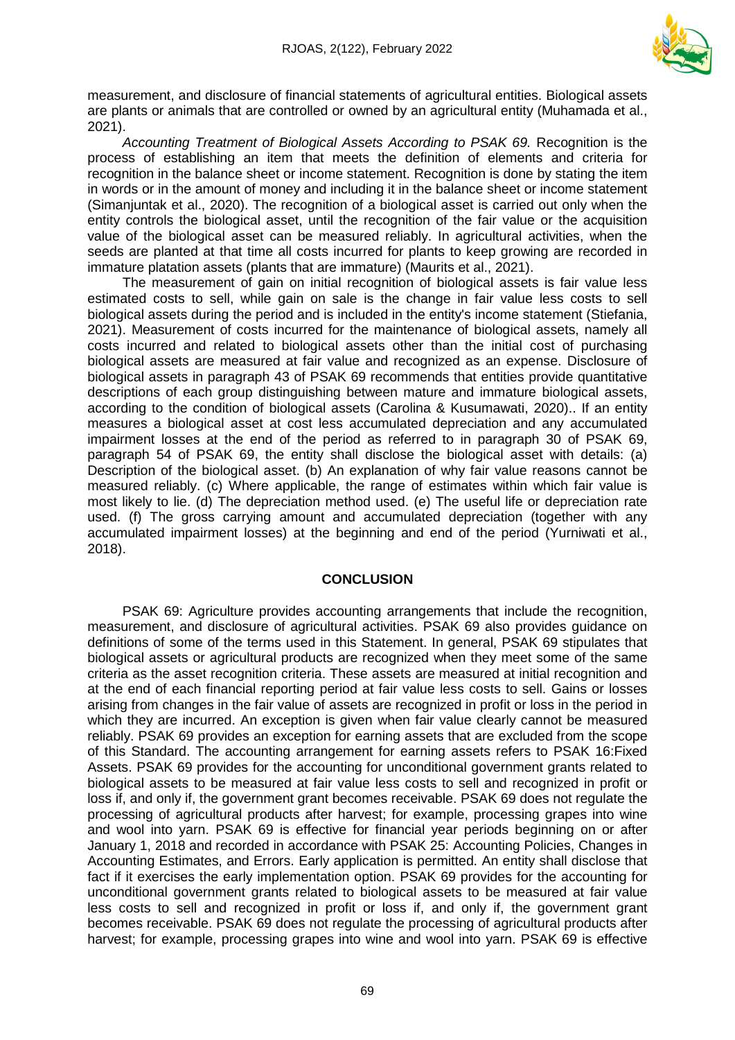

measurement, and disclosure of financial statements of agricultural entities. Biological assets are plants or animals that are controlled or owned by an agricultural entity (Muhamada et al., 2021).

*Accounting Treatment of Biological Assets According to PSAK 69.* Recognition is the process of establishing an item that meets the definition of elements and criteria for recognition in the balance sheet or income statement. Recognition is done by stating the item in words or in the amount of money and including it in the balance sheet or income statement (Simanjuntak et al., 2020). The recognition of a biological asset is carried out only when the entity controls the biological asset, until the recognition of the fair value or the acquisition value of the biological asset can be measured reliably. In agricultural activities, when the seeds are planted at that time all costs incurred for plants to keep growing are recorded in immature platation assets (plants that are immature) (Maurits et al., 2021).

The measurement of gain on initial recognition of biological assets is fair value less estimated costs to sell, while gain on sale is the change in fair value less costs to sell biological assets during the period and is included in the entity's income statement (Stiefania, 2021). Measurement of costs incurred for the maintenance of biological assets, namely all costs incurred and related to biological assets other than the initial cost of purchasing biological assets are measured at fair value and recognized as an expense. Disclosure of biological assets in paragraph 43 of PSAK 69 recommends that entities provide quantitative descriptions of each group distinguishing between mature and immature biological assets, according to the condition of biological assets (Carolina & Kusumawati, 2020).. If an entity measures a biological asset at cost less accumulated depreciation and any accumulated impairment losses at the end of the period as referred to in paragraph 30 of PSAK 69, paragraph 54 of PSAK 69, the entity shall disclose the biological asset with details: (a) Description of the biological asset. (b) An explanation of why fair value reasons cannot be measured reliably. (c) Where applicable, the range of estimates within which fair value is most likely to lie. (d) The depreciation method used. (e) The useful life or depreciation rate used. (f) The gross carrying amount and accumulated depreciation (together with any accumulated impairment losses) at the beginning and end of the period (Yurniwati et al., 2018).

# **CONCLUSION**

PSAK 69: Agriculture provides accounting arrangements that include the recognition, measurement, and disclosure of agricultural activities. PSAK 69 also provides guidance on definitions of some of the terms used in this Statement. In general, PSAK 69 stipulates that biological assets or agricultural products are recognized when they meet some of the same criteria as the asset recognition criteria. These assets are measured at initial recognition and at the end of each financial reporting period at fair value less costs to sell. Gains or losses arising from changes in the fair value of assets are recognized in profit or loss in the period in which they are incurred. An exception is given when fair value clearly cannot be measured reliably. PSAK 69 provides an exception for earning assets that are excluded from the scope of this Standard. The accounting arrangement for earning assets refers to PSAK 16:Fixed Assets. PSAK 69 provides for the accounting for unconditional government grants related to biological assets to be measured at fair value less costs to sell and recognized in profit or loss if, and only if, the government grant becomes receivable. PSAK 69 does not regulate the processing of agricultural products after harvest; for example, processing grapes into wine and wool into yarn. PSAK 69 is effective for financial year periods beginning on or after January 1, 2018 and recorded in accordance with PSAK 25: Accounting Policies, Changes in Accounting Estimates, and Errors. Early application is permitted. An entity shall disclose that fact if it exercises the early implementation option. PSAK 69 provides for the accounting for unconditional government grants related to biological assets to be measured at fair value less costs to sell and recognized in profit or loss if, and only if, the government grant becomes receivable. PSAK 69 does not regulate the processing of agricultural products after harvest; for example, processing grapes into wine and wool into yarn. PSAK 69 is effective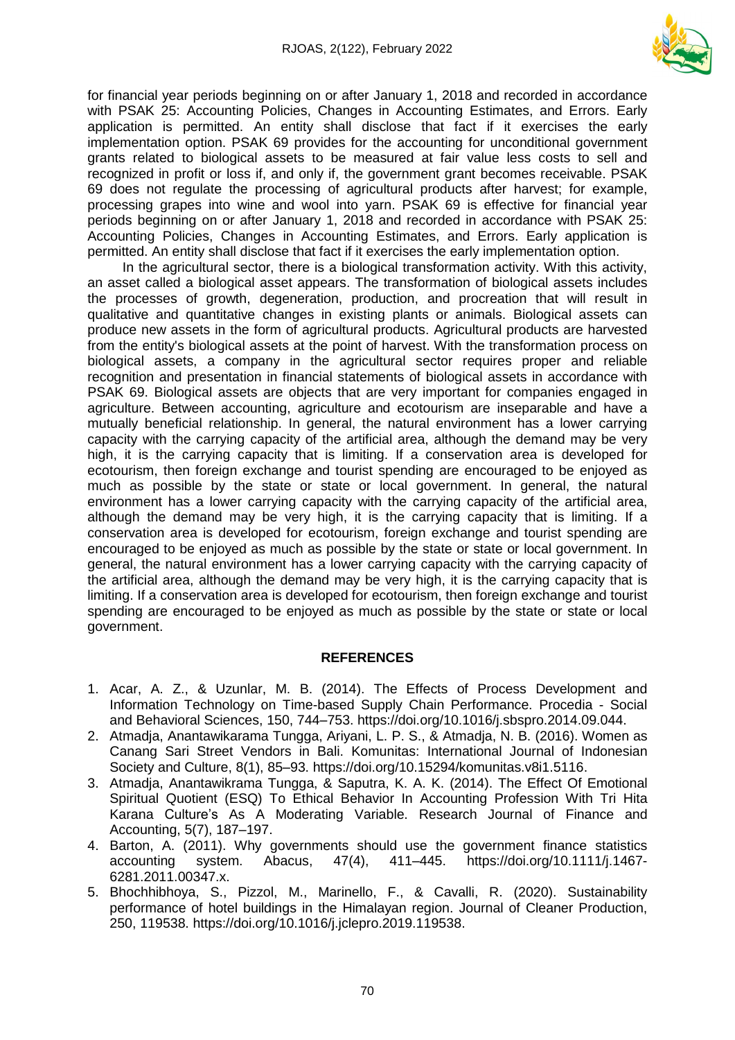

for financial year periods beginning on or after January 1, 2018 and recorded in accordance with PSAK 25: Accounting Policies, Changes in Accounting Estimates, and Errors. Early application is permitted. An entity shall disclose that fact if it exercises the early implementation option. PSAK 69 provides for the accounting for unconditional government grants related to biological assets to be measured at fair value less costs to sell and recognized in profit or loss if, and only if, the government grant becomes receivable. PSAK 69 does not regulate the processing of agricultural products after harvest; for example, processing grapes into wine and wool into yarn. PSAK 69 is effective for financial year periods beginning on or after January 1, 2018 and recorded in accordance with PSAK 25: Accounting Policies, Changes in Accounting Estimates, and Errors. Early application is permitted. An entity shall disclose that fact if it exercises the early implementation option.

In the agricultural sector, there is a biological transformation activity. With this activity, an asset called a biological asset appears. The transformation of biological assets includes the processes of growth, degeneration, production, and procreation that will result in qualitative and quantitative changes in existing plants or animals. Biological assets can produce new assets in the form of agricultural products. Agricultural products are harvested from the entity's biological assets at the point of harvest. With the transformation process on biological assets, a company in the agricultural sector requires proper and reliable recognition and presentation in financial statements of biological assets in accordance with PSAK 69. Biological assets are objects that are very important for companies engaged in agriculture. Between accounting, agriculture and ecotourism are inseparable and have a mutually beneficial relationship. In general, the natural environment has a lower carrying capacity with the carrying capacity of the artificial area, although the demand may be very high, it is the carrying capacity that is limiting. If a conservation area is developed for ecotourism, then foreign exchange and tourist spending are encouraged to be enjoyed as much as possible by the state or state or local government. In general, the natural environment has a lower carrying capacity with the carrying capacity of the artificial area, although the demand may be very high, it is the carrying capacity that is limiting. If a conservation area is developed for ecotourism, foreign exchange and tourist spending are encouraged to be enjoyed as much as possible by the state or state or local government. In general, the natural environment has a lower carrying capacity with the carrying capacity of the artificial area, although the demand may be very high, it is the carrying capacity that is limiting. If a conservation area is developed for ecotourism, then foreign exchange and tourist spending are encouraged to be enjoyed as much as possible by the state or state or local government.

# **REFERENCES**

- 1. Acar, A. Z., & Uzunlar, M. B. (2014). The Effects of Process Development and Information Technology on Time-based Supply Chain Performance. Procedia - Social and Behavioral Sciences, 150, 744–753. https://doi.org/10.1016/j.sbspro.2014.09.044.
- 2. Atmadja, Anantawikarama Tungga, Ariyani, L. P. S., & Atmadja, N. B. (2016). Women as Canang Sari Street Vendors in Bali. Komunitas: International Journal of Indonesian Society and Culture, 8(1), 85–93. https://doi.org/10.15294/komunitas.v8i1.5116.
- 3. Atmadja, Anantawikrama Tungga, & Saputra, K. A. K. (2014). The Effect Of Emotional Spiritual Quotient (ESQ) To Ethical Behavior In Accounting Profession With Tri Hita Karana Culture's As A Moderating Variable. Research Journal of Finance and Accounting, 5(7), 187–197.
- 4. Barton, A. (2011). Why governments should use the government finance statistics accounting system. Abacus, 47(4), 411–445. https://doi.org/10.1111/j.1467- 6281.2011.00347.x.
- 5. Bhochhibhoya, S., Pizzol, M., Marinello, F., & Cavalli, R. (2020). Sustainability performance of hotel buildings in the Himalayan region. Journal of Cleaner Production, 250, 119538. https://doi.org/10.1016/j.jclepro.2019.119538.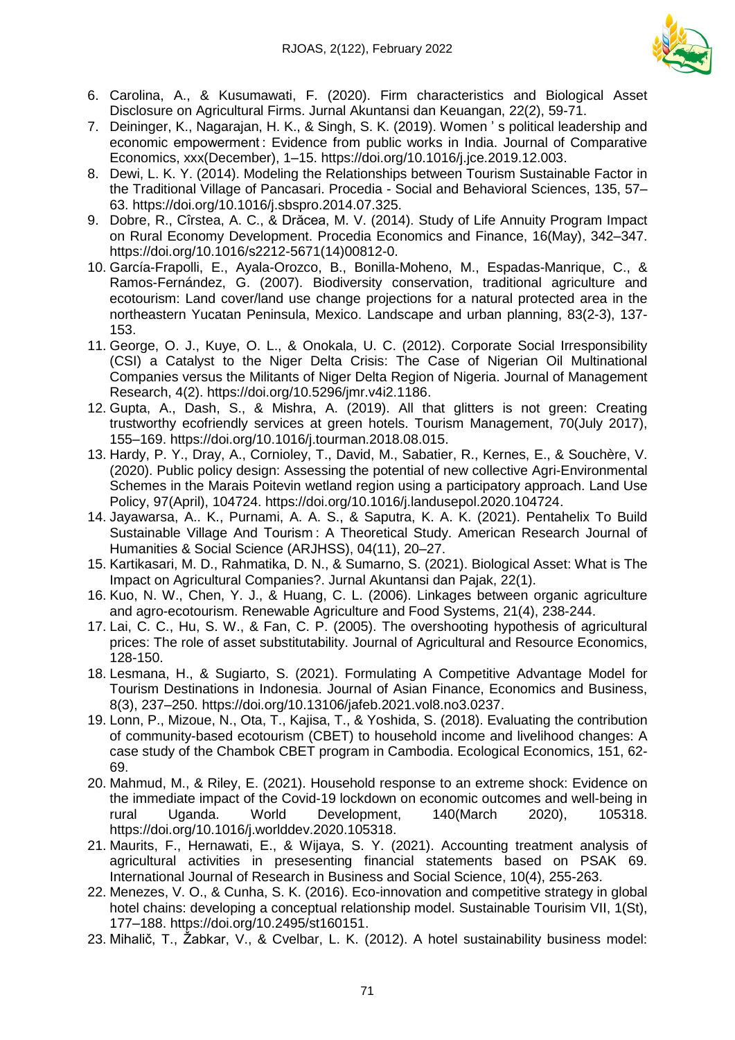

- 6. Carolina, A., & Kusumawati, F. (2020). Firm characteristics and Biological Asset Disclosure on Agricultural Firms. Jurnal Akuntansi dan Keuangan, 22(2), 59-71.
- 7. Deininger, K., Nagarajan, H. K., & Singh, S. K. (2019). Women ' s political leadership and economic empowerment : Evidence from public works in India. Journal of Comparative Economics, xxx(December), 1–15. https://doi.org/10.1016/j.jce.2019.12.003.
- 8. Dewi, L. K. Y. (2014). Modeling the Relationships between Tourism Sustainable Factor in the Traditional Village of Pancasari. Procedia - Social and Behavioral Sciences, 135, 57– 63. https://doi.org/10.1016/j.sbspro.2014.07.325.
- 9. Dobre, R., Cîrstea, A. C., & Drăcea, M. V. (2014). Study of Life Annuity Program Impact on Rural Economy Development. Procedia Economics and Finance, 16(May), 342–347. https://doi.org/10.1016/s2212-5671(14)00812-0.
- 10. García-Frapolli, E., Ayala-Orozco, B., Bonilla-Moheno, M., Espadas-Manrique, C., & Ramos-Fernández, G. (2007). Biodiversity conservation, traditional agriculture and ecotourism: Land cover/land use change projections for a natural protected area in the northeastern Yucatan Peninsula, Mexico. Landscape and urban planning, 83(2-3), 137- 153.
- 11. George, O. J., Kuye, O. L., & Onokala, U. C. (2012). Corporate Social Irresponsibility (CSI) a Catalyst to the Niger Delta Crisis: The Case of Nigerian Oil Multinational Companies versus the Militants of Niger Delta Region of Nigeria. Journal of Management Research, 4(2). https://doi.org/10.5296/jmr.v4i2.1186.
- 12. Gupta, A., Dash, S., & Mishra, A. (2019). All that glitters is not green: Creating trustworthy ecofriendly services at green hotels. Tourism Management, 70(July 2017), 155–169. https://doi.org/10.1016/j.tourman.2018.08.015.
- 13. Hardy, P. Y., Dray, A., Cornioley, T., David, M., Sabatier, R., Kernes, E., & Souchère, V. (2020). Public policy design: Assessing the potential of new collective Agri-Environmental Schemes in the Marais Poitevin wetland region using a participatory approach. Land Use Policy, 97(April), 104724. https://doi.org/10.1016/j.landusepol.2020.104724.
- 14. Jayawarsa, A.. K., Purnami, A. A. S., & Saputra, K. A. K. (2021). Pentahelix To Build Sustainable Village And Tourism : A Theoretical Study. American Research Journal of Humanities & Social Science (ARJHSS), 04(11), 20–27.
- 15. Kartikasari, M. D., Rahmatika, D. N., & Sumarno, S. (2021). Biological Asset: What is The Impact on Agricultural Companies?. Jurnal Akuntansi dan Pajak, 22(1).
- 16. Kuo, N. W., Chen, Y. J., & Huang, C. L. (2006). Linkages between organic agriculture and agro-ecotourism. Renewable Agriculture and Food Systems, 21(4), 238-244.
- 17. Lai, C. C., Hu, S. W., & Fan, C. P. (2005). The overshooting hypothesis of agricultural prices: The role of asset substitutability. Journal of Agricultural and Resource Economics, 128-150.
- 18. Lesmana, H., & Sugiarto, S. (2021). Formulating A Competitive Advantage Model for Tourism Destinations in Indonesia. Journal of Asian Finance, Economics and Business, 8(3), 237–250. https://doi.org/10.13106/jafeb.2021.vol8.no3.0237.
- 19. Lonn, P., Mizoue, N., Ota, T., Kajisa, T., & Yoshida, S. (2018). Evaluating the contribution of community-based ecotourism (CBET) to household income and livelihood changes: A case study of the Chambok CBET program in Cambodia. Ecological Economics, 151, 62- 69.
- 20. Mahmud, M., & Riley, E. (2021). Household response to an extreme shock: Evidence on the immediate impact of the Covid-19 lockdown on economic outcomes and well-being in rural Uganda. World Development, 140(March 2020), 105318. https://doi.org/10.1016/j.worlddev.2020.105318.
- 21. Maurits, F., Hernawati, E., & Wijaya, S. Y. (2021). Accounting treatment analysis of agricultural activities in presesenting financial statements based on PSAK 69. International Journal of Research in Business and Social Science, 10(4), 255-263.
- 22. Menezes, V. O., & Cunha, S. K. (2016). Eco-innovation and competitive strategy in global hotel chains: developing a conceptual relationship model. Sustainable Tourisim VII, 1(St), 177–188. https://doi.org/10.2495/st160151.
- 23. Mihalič, T., Žabkar, V., & Cvelbar, L. K. (2012). A hotel sustainability business model: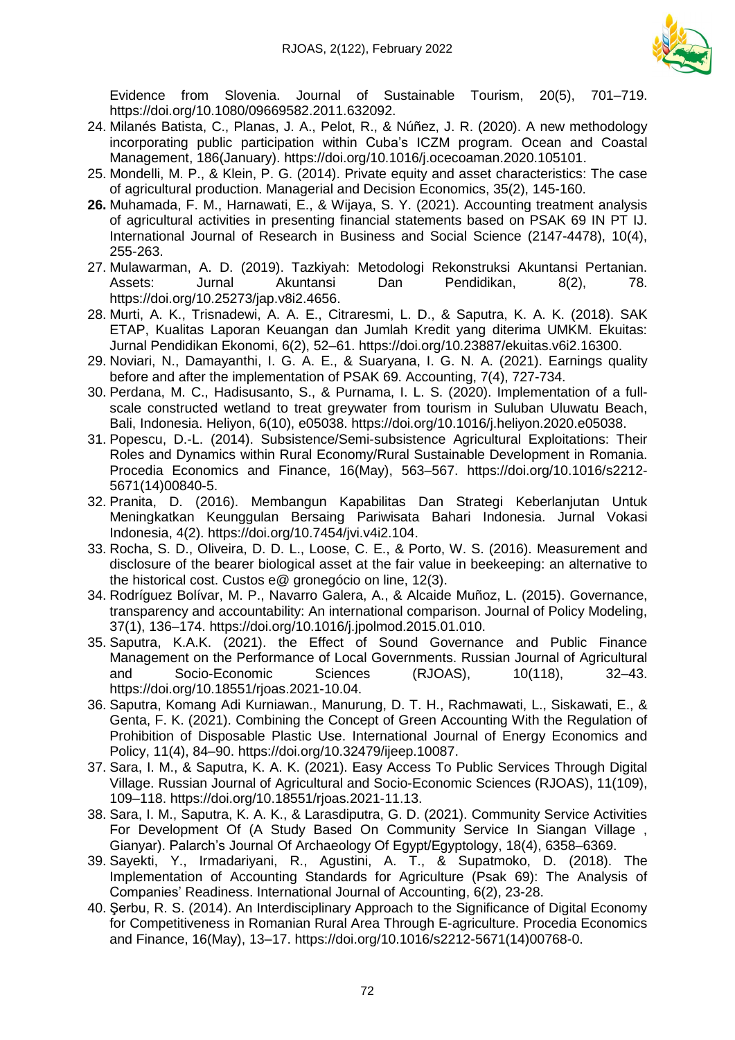

Evidence from Slovenia. Journal of Sustainable Tourism, 20(5), 701–719. https://doi.org/10.1080/09669582.2011.632092.

- 24. Milanés Batista, C., Planas, J. A., Pelot, R., & Núñez, J. R. (2020). A new methodology incorporating public participation within Cuba's ICZM program. Ocean and Coastal Management, 186(January). https://doi.org/10.1016/j.ocecoaman.2020.105101.
- 25. Mondelli, M. P., & Klein, P. G. (2014). Private equity and asset characteristics: The case of agricultural production. Managerial and Decision Economics, 35(2), 145-160.
- **26.** Muhamada, F. M., Harnawati, E., & Wijaya, S. Y. (2021). Accounting treatment analysis of agricultural activities in presenting financial statements based on PSAK 69 IN PT IJ. International Journal of Research in Business and Social Science (2147-4478), 10(4), 255-263.
- 27. Mulawarman, A. D. (2019). Tazkiyah: Metodologi Rekonstruksi Akuntansi Pertanian. Assets: Jurnal Akuntansi Dan Pendidikan, 8(2), 78. https://doi.org/10.25273/jap.v8i2.4656.
- 28. Murti, A. K., Trisnadewi, A. A. E., Citraresmi, L. D., & Saputra, K. A. K. (2018). SAK ETAP, Kualitas Laporan Keuangan dan Jumlah Kredit yang diterima UMKM. Ekuitas: Jurnal Pendidikan Ekonomi, 6(2), 52–61. https://doi.org/10.23887/ekuitas.v6i2.16300.
- 29. Noviari, N., Damayanthi, I. G. A. E., & Suaryana, I. G. N. A. (2021). Earnings quality before and after the implementation of PSAK 69. Accounting, 7(4), 727-734.
- 30. Perdana, M. C., Hadisusanto, S., & Purnama, I. L. S. (2020). Implementation of a fullscale constructed wetland to treat greywater from tourism in Suluban Uluwatu Beach, Bali, Indonesia. Heliyon, 6(10), e05038. https://doi.org/10.1016/j.heliyon.2020.e05038.
- 31. Popescu, D.-L. (2014). Subsistence/Semi-subsistence Agricultural Exploitations: Their Roles and Dynamics within Rural Economy/Rural Sustainable Development in Romania. Procedia Economics and Finance, 16(May), 563–567. https://doi.org/10.1016/s2212- 5671(14)00840-5.
- 32. Pranita, D. (2016). Membangun Kapabilitas Dan Strategi Keberlanjutan Untuk Meningkatkan Keunggulan Bersaing Pariwisata Bahari Indonesia. Jurnal Vokasi Indonesia, 4(2). https://doi.org/10.7454/jvi.v4i2.104.
- 33. Rocha, S. D., Oliveira, D. D. L., Loose, C. E., & Porto, W. S. (2016). Measurement and disclosure of the bearer biological asset at the fair value in beekeeping: an alternative to the historical cost. Custos e@ gronegócio on line, 12(3).
- 34. Rodríguez Bolívar, M. P., Navarro Galera, A., & Alcaide Muñoz, L. (2015). Governance, transparency and accountability: An international comparison. Journal of Policy Modeling, 37(1), 136–174. https://doi.org/10.1016/j.jpolmod.2015.01.010.
- 35. Saputra, K.A.K. (2021). the Effect of Sound Governance and Public Finance Management on the Performance of Local Governments. Russian Journal of Agricultural and Socio-Economic Sciences (RJOAS), 10(118), 32–43. https://doi.org/10.18551/rjoas.2021-10.04.
- 36. Saputra, Komang Adi Kurniawan., Manurung, D. T. H., Rachmawati, L., Siskawati, E., & Genta, F. K. (2021). Combining the Concept of Green Accounting With the Regulation of Prohibition of Disposable Plastic Use. International Journal of Energy Economics and Policy, 11(4), 84–90. https://doi.org/10.32479/ijeep.10087.
- 37. Sara, I. M., & Saputra, K. A. K. (2021). Easy Access To Public Services Through Digital Village. Russian Journal of Agricultural and Socio-Economic Sciences (RJOAS), 11(109), 109–118. https://doi.org/10.18551/rjoas.2021-11.13.
- 38. Sara, I. M., Saputra, K. A. K., & Larasdiputra, G. D. (2021). Community Service Activities For Development Of (A Study Based On Community Service In Siangan Village , Gianyar). Palarch's Journal Of Archaeology Of Egypt/Egyptology, 18(4), 6358–6369.
- 39. Sayekti, Y., Irmadariyani, R., Agustini, A. T., & Supatmoko, D. (2018). The Implementation of Accounting Standards for Agriculture (Psak 69): The Analysis of Companies' Readiness. International Journal of Accounting, 6(2), 23-28.
- 40. Şerbu, R. S. (2014). An Interdisciplinary Approach to the Significance of Digital Economy for Competitiveness in Romanian Rural Area Through E-agriculture. Procedia Economics and Finance, 16(May), 13–17. https://doi.org/10.1016/s2212-5671(14)00768-0.